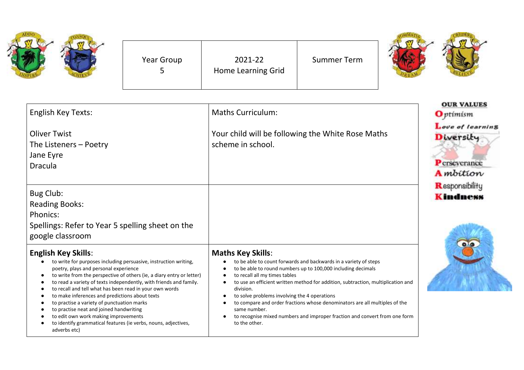| Year Group | 2021-22<br>Home Learning Grid | <b>Summer Term</b> |  |
|------------|-------------------------------|--------------------|--|
|            |                               |                    |  |

| <b>English Key Texts:</b><br><b>Oliver Twist</b><br>The Listeners - Poetry<br>Jane Eyre<br><b>Dracula</b>                                                                                                                                                                                                                                                                                                                                                                                                                                                                                                                                          | <b>Maths Curriculum:</b><br>Your child will be following the White Rose Maths<br>scheme in school.                                                                                                                                                                                                                                                                                                                                                                                                                                                                                              | <b>OUR VALUES</b><br><b>O</b> ptimism<br>Love of learning<br>Diversity<br>Perseverance<br><b>A</b> mbition |
|----------------------------------------------------------------------------------------------------------------------------------------------------------------------------------------------------------------------------------------------------------------------------------------------------------------------------------------------------------------------------------------------------------------------------------------------------------------------------------------------------------------------------------------------------------------------------------------------------------------------------------------------------|-------------------------------------------------------------------------------------------------------------------------------------------------------------------------------------------------------------------------------------------------------------------------------------------------------------------------------------------------------------------------------------------------------------------------------------------------------------------------------------------------------------------------------------------------------------------------------------------------|------------------------------------------------------------------------------------------------------------|
| Bug Club:<br><b>Reading Books:</b><br>Phonics:<br>Spellings: Refer to Year 5 spelling sheet on the<br>google classroom                                                                                                                                                                                                                                                                                                                                                                                                                                                                                                                             |                                                                                                                                                                                                                                                                                                                                                                                                                                                                                                                                                                                                 | Responsibility<br>Kindness                                                                                 |
| <b>English Key Skills:</b><br>to write for purposes including persuasive, instruction writing,<br>$\bullet$<br>poetry, plays and personal experience<br>to write from the perspective of others (ie, a diary entry or letter)<br>٠<br>to read a variety of texts independently, with friends and family.<br>٠<br>to recall and tell what has been read in your own words<br>to make inferences and predictions about texts<br>٠<br>to practise a variety of punctuation marks<br>to practise neat and joined handwriting<br>to edit own work making improvements<br>to identify grammatical features (ie verbs, nouns, adjectives,<br>adverbs etc) | <b>Maths Key Skills:</b><br>to be able to count forwards and backwards in a variety of steps<br>to be able to round numbers up to 100,000 including decimals<br>$\bullet$<br>to recall all my times tables<br>$\bullet$<br>to use an efficient written method for addition, subtraction, multiplication and<br>$\bullet$<br>division.<br>to solve problems involving the 4 operations<br>$\bullet$<br>to compare and order fractions whose denominators are all multiples of the<br>same number.<br>to recognise mixed numbers and improper fraction and convert from one form<br>to the other. |                                                                                                            |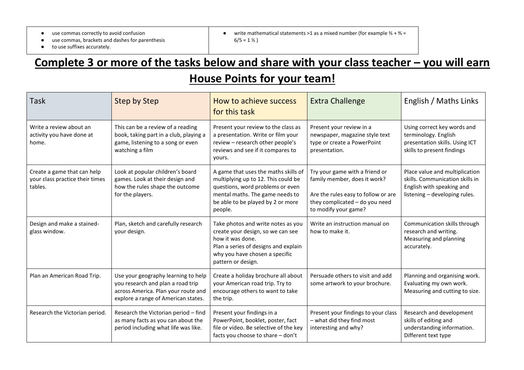● use commas correctly to avoid confusion

- use commas, brackets and dashes for parenthesis
- to use suffixes accurately.

• write mathematical statements >1 as a mixed number (for example  $\frac{2}{5}$  +  $\frac{4}{5}$  =  $6/5 = 1\frac{1}{5}$ 

## **Complete 3 or more of the tasks below and share with your class teacher – you will earn House Points for your team!**

| Task                                                                      | <b>Step by Step</b>                                                                                                                                    | How to achieve success<br>for this task                                                                                                                                                            | <b>Extra Challenge</b>                                                                                                                                          | English / Maths Links                                                                                                           |
|---------------------------------------------------------------------------|--------------------------------------------------------------------------------------------------------------------------------------------------------|----------------------------------------------------------------------------------------------------------------------------------------------------------------------------------------------------|-----------------------------------------------------------------------------------------------------------------------------------------------------------------|---------------------------------------------------------------------------------------------------------------------------------|
| Write a review about an<br>activity you have done at<br>home.             | This can be a review of a reading<br>book, taking part in a club, playing a<br>game, listening to a song or even<br>watching a film                    | Present your review to the class as<br>a presentation. Write or film your<br>review - research other people's<br>reviews and see if it compares to<br>yours.                                       | Present your review in a<br>newspaper, magazine style text<br>type or create a PowerPoint<br>presentation.                                                      | Using correct key words and<br>terminology. English<br>presentation skills. Using ICT<br>skills to present findings             |
| Create a game that can help<br>your class practice their times<br>tables. | Look at popular children's board<br>games. Look at their design and<br>how the rules shape the outcome<br>for the players.                             | A game that uses the maths skills of<br>multiplying up to 12. This could be<br>questions, word problems or even<br>mental maths. The game needs to<br>be able to be played by 2 or more<br>people. | Try your game with a friend or<br>family member, does it work?<br>Are the rules easy to follow or are<br>they complicated - do you need<br>to modify your game? | Place value and multiplication<br>skills. Communication skills in<br>English with speaking and<br>listening - developing rules. |
| Design and make a stained-<br>glass window.                               | Plan, sketch and carefully research<br>your design.                                                                                                    | Take photos and write notes as you<br>create your design, so we can see<br>how it was done.<br>Plan a series of designs and explain<br>why you have chosen a specific<br>pattern or design.        | Write an instruction manual on<br>how to make it.                                                                                                               | Communication skills through<br>research and writing.<br>Measuring and planning<br>accurately.                                  |
| Plan an American Road Trip.                                               | Use your geography learning to help<br>you research and plan a road trip<br>across America. Plan your route and<br>explore a range of American states. | Create a holiday brochure all about<br>your American road trip. Try to<br>encourage others to want to take<br>the trip.                                                                            | Persuade others to visit and add<br>some artwork to your brochure.                                                                                              | Planning and organising work.<br>Evaluating my own work.<br>Measuring and cutting to size.                                      |
| Research the Victorian period.                                            | Research the Victorian period - find<br>as many facts as you can about the<br>period including what life was like.                                     | Present your findings in a<br>PowerPoint, booklet, poster, fact<br>file or video. Be selective of the key<br>facts you choose to share - don't                                                     | Present your findings to your class<br>- what did they find most<br>interesting and why?                                                                        | Research and development<br>skills of editing and<br>understanding information.<br>Different text type                          |